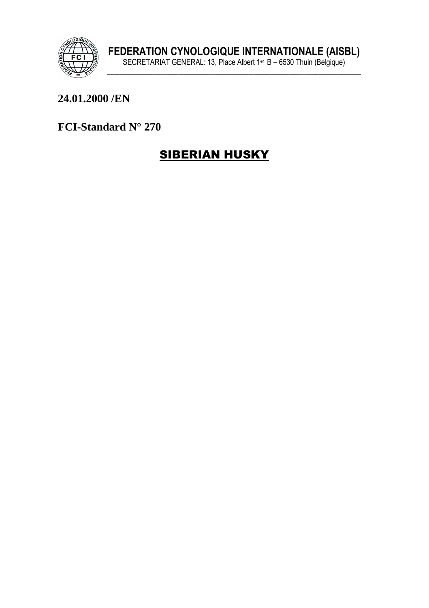

## 24.01.2000 /EN

FCI-Standard N° 270

# **SIBERIAN HUSKY**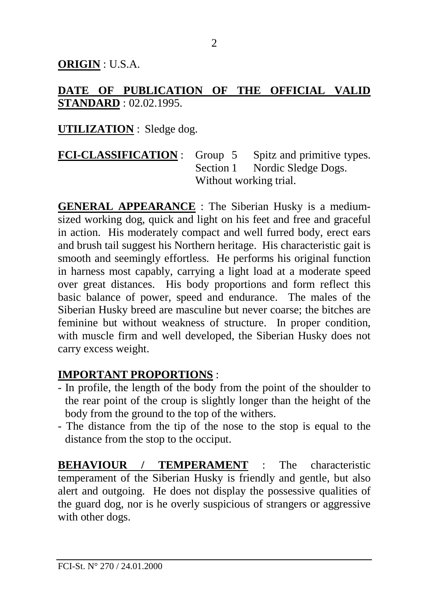**ORIGIN** : U.S.A.

### **DATE OF PUBLICATION OF THE OFFICIAL VALID STANDARD** : 02.02.1995.

#### **UTILIZATION** : Sledge dog.

**FCI-CLASSIFICATION** : Group 5 Spitz and primitive types. Section 1 Nordic Sledge Dogs. Without working trial.

**GENERAL APPEARANCE** : The Siberian Husky is a mediumsized working dog, quick and light on his feet and free and graceful in action. His moderately compact and well furred body, erect ears and brush tail suggest his Northern heritage. His characteristic gait is smooth and seemingly effortless. He performs his original function in harness most capably, carrying a light load at a moderate speed over great distances. His body proportions and form reflect this basic balance of power, speed and endurance. The males of the Siberian Husky breed are masculine but never coarse; the bitches are feminine but without weakness of structure. In proper condition, with muscle firm and well developed, the Siberian Husky does not carry excess weight.

#### **IMPORTANT PROPORTIONS** :

- In profile, the length of the body from the point of the shoulder to the rear point of the croup is slightly longer than the height of the body from the ground to the top of the withers.
- The distance from the tip of the nose to the stop is equal to the distance from the stop to the occiput.

**BEHAVIOUR / TEMPERAMENT** : The characteristic temperament of the Siberian Husky is friendly and gentle, but also alert and outgoing. He does not display the possessive qualities of the guard dog, nor is he overly suspicious of strangers or aggressive with other dogs.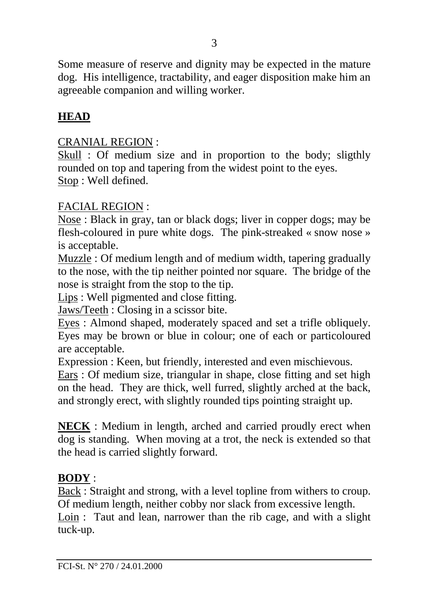Some measure of reserve and dignity may be expected in the mature dog. His intelligence, tractability, and eager disposition make him an agreeable companion and willing worker.

#### **HEAD**

#### CRANIAL REGION :

Skull : Of medium size and in proportion to the body; sligthly rounded on top and tapering from the widest point to the eyes. Stop : Well defined.

#### FACIAL REGION :

Nose : Black in gray, tan or black dogs; liver in copper dogs; may be flesh-coloured in pure white dogs. The pink-streaked « snow nose » is acceptable.

Muzzle : Of medium length and of medium width, tapering gradually to the nose, with the tip neither pointed nor square. The bridge of the nose is straight from the stop to the tip.

Lips : Well pigmented and close fitting.

Jaws/Teeth : Closing in a scissor bite.

Eyes : Almond shaped, moderately spaced and set a trifle obliquely. Eyes may be brown or blue in colour; one of each or particoloured are acceptable.

Expression : Keen, but friendly, interested and even mischievous.

Ears : Of medium size, triangular in shape, close fitting and set high on the head. They are thick, well furred, slightly arched at the back, and strongly erect, with slightly rounded tips pointing straight up.

**NECK** : Medium in length, arched and carried proudly erect when dog is standing. When moving at a trot, the neck is extended so that the head is carried slightly forward.

#### **BODY** :

Back : Straight and strong, with a level topline from withers to croup. Of medium length, neither cobby nor slack from excessive length.

Loin : Taut and lean, narrower than the rib cage, and with a slight tuck-up.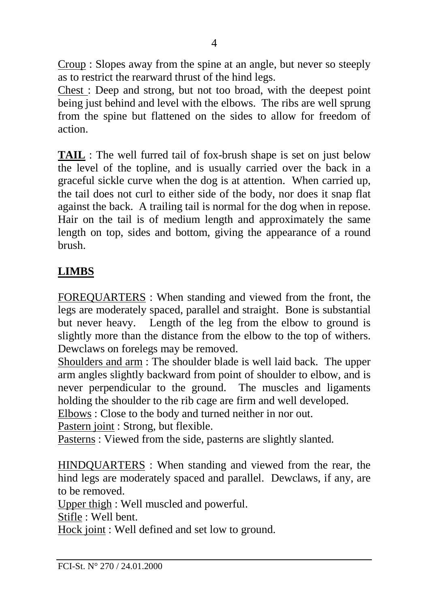Croup : Slopes away from the spine at an angle, but never so steeply as to restrict the rearward thrust of the hind legs.

Chest : Deep and strong, but not too broad, with the deepest point being just behind and level with the elbows. The ribs are well sprung from the spine but flattened on the sides to allow for freedom of action.

**TAIL** : The well furred tail of fox-brush shape is set on just below the level of the topline, and is usually carried over the back in a graceful sickle curve when the dog is at attention. When carried up, the tail does not curl to either side of the body, nor does it snap flat against the back. A trailing tail is normal for the dog when in repose. Hair on the tail is of medium length and approximately the same length on top, sides and bottom, giving the appearance of a round brush.

# **LIMBS**

FOREQUARTERS : When standing and viewed from the front, the legs are moderately spaced, parallel and straight. Bone is substantial but never heavy. Length of the leg from the elbow to ground is slightly more than the distance from the elbow to the top of withers. Dewclaws on forelegs may be removed.

Shoulders and arm : The shoulder blade is well laid back. The upper arm angles slightly backward from point of shoulder to elbow, and is never perpendicular to the ground. The muscles and ligaments holding the shoulder to the rib cage are firm and well developed.

Elbows : Close to the body and turned neither in nor out.

Pastern joint : Strong, but flexible.

Pasterns : Viewed from the side, pasterns are slightly slanted.

HINDQUARTERS : When standing and viewed from the rear, the hind legs are moderately spaced and parallel. Dewclaws, if any, are to be removed.

Upper thigh : Well muscled and powerful.

Stifle : Well bent.

Hock joint : Well defined and set low to ground.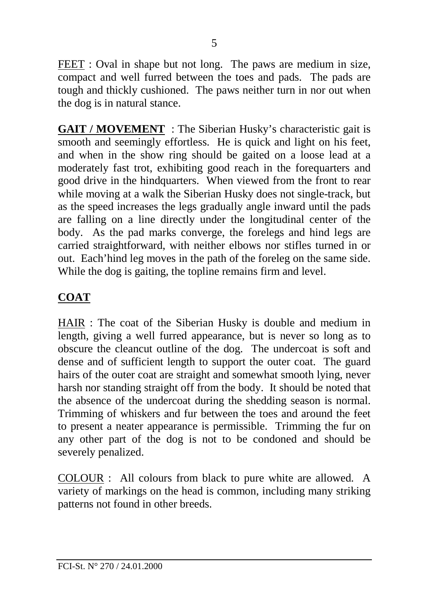FEET : Oval in shape but not long. The paws are medium in size, compact and well furred between the toes and pads. The pads are tough and thickly cushioned. The paws neither turn in nor out when the dog is in natural stance.

**GAIT / MOVEMENT** : The Siberian Husky's characteristic gait is smooth and seemingly effortless. He is quick and light on his feet, and when in the show ring should be gaited on a loose lead at a moderately fast trot, exhibiting good reach in the forequarters and good drive in the hindquarters. When viewed from the front to rear while moving at a walk the Siberian Husky does not single-track, but as the speed increases the legs gradually angle inward until the pads are falling on a line directly under the longitudinal center of the body. As the pad marks converge, the forelegs and hind legs are carried straightforward, with neither elbows nor stifles turned in or out. Each'hind leg moves in the path of the foreleg on the same side. While the dog is gaiting, the topline remains firm and level.

## **COAT**

HAIR : The coat of the Siberian Husky is double and medium in length, giving a well furred appearance, but is never so long as to obscure the cleancut outline of the dog. The undercoat is soft and dense and of sufficient length to support the outer coat. The guard hairs of the outer coat are straight and somewhat smooth lying, never harsh nor standing straight off from the body. It should be noted that the absence of the undercoat during the shedding season is normal. Trimming of whiskers and fur between the toes and around the feet to present a neater appearance is permissible. Trimming the fur on any other part of the dog is not to be condoned and should be severely penalized.

COLOUR : All colours from black to pure white are allowed. A variety of markings on the head is common, including many striking patterns not found in other breeds.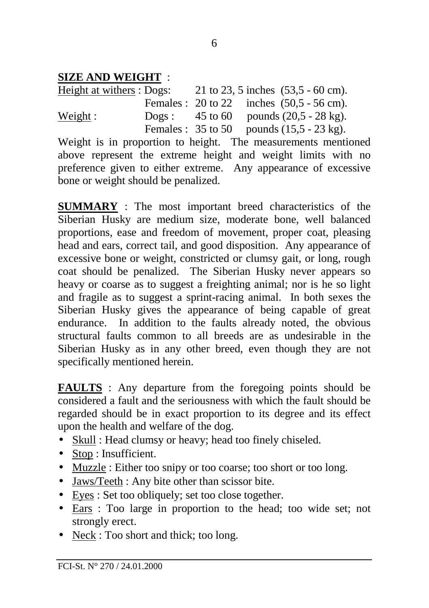## **SIZE AND WEIGHT** :

| Height at withers : Dogs: |  | 21 to 23, 5 inches $(53,5 - 60)$ cm).                          |
|---------------------------|--|----------------------------------------------------------------|
|                           |  | Females: $20 \text{ to } 22$ inches $(50.5 - 56 \text{ cm})$ . |
| Weight:                   |  | Dogs: $45 \text{ to } 60$ pounds $(20,5 - 28 \text{ kg})$ .    |
|                           |  | Females: $35 \text{ to } 50$ pounds $(15,5 - 23 \text{ kg})$ . |

Weight is in proportion to height. The measurements mentioned above represent the extreme height and weight limits with no preference given to either extreme. Any appearance of excessive bone or weight should be penalized.

**SUMMARY** : The most important breed characteristics of the Siberian Husky are medium size, moderate bone, well balanced proportions, ease and freedom of movement, proper coat, pleasing head and ears, correct tail, and good disposition. Any appearance of excessive bone or weight, constricted or clumsy gait, or long, rough coat should be penalized. The Siberian Husky never appears so heavy or coarse as to suggest a freighting animal; nor is he so light and fragile as to suggest a sprint-racing animal. In both sexes the Siberian Husky gives the appearance of being capable of great endurance. In addition to the faults already noted, the obvious structural faults common to all breeds are as undesirable in the Siberian Husky as in any other breed, even though they are not specifically mentioned herein.

**FAULTS** : Any departure from the foregoing points should be considered a fault and the seriousness with which the fault should be regarded should be in exact proportion to its degree and its effect upon the health and welfare of the dog.

- Skull : Head clumsy or heavy; head too finely chiseled.
- Stop : Insufficient.
- Muzzle : Either too snipy or too coarse; too short or too long.
- Jaws/Teeth : Any bite other than scissor bite.
- Eyes : Set too obliquely; set too close together.
- Ears : Too large in proportion to the head; too wide set; not strongly erect.
- Neck : Too short and thick; too long.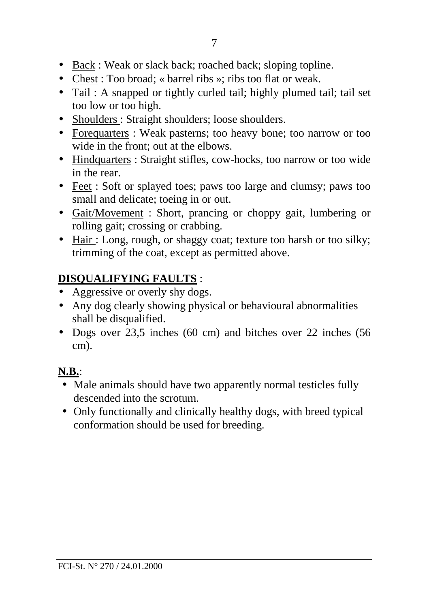- Back : Weak or slack back; roached back; sloping topline.
- Chest : Too broad; « barrel ribs »; ribs too flat or weak.
- Tail : A snapped or tightly curled tail; highly plumed tail; tail set too low or too high.
- Shoulders : Straight shoulders; loose shoulders.
- Forequarters : Weak pasterns; too heavy bone; too narrow or too wide in the front; out at the elbows.
- Hindquarters : Straight stifles, cow-hocks, too narrow or too wide in the rear.
- Feet : Soft or splayed toes; paws too large and clumsy; paws too small and delicate; toeing in or out.
- Gait/Movement: Short, prancing or choppy gait, lumbering or rolling gait; crossing or crabbing.
- Hair: Long, rough, or shaggy coat; texture too harsh or too silky; trimming of the coat, except as permitted above.

# **DISQUALIFYING FAULTS** :

- Aggressive or overly shy dogs.
- Any dog clearly showing physical or behavioural abnormalities shall be disqualified.
- Dogs over 23,5 inches (60 cm) and bitches over 22 inches (56 cm).

# **N.B.**:

- Male animals should have two apparently normal testicles fully descended into the scrotum.
- Only functionally and clinically healthy dogs, with breed typical conformation should be used for breeding.